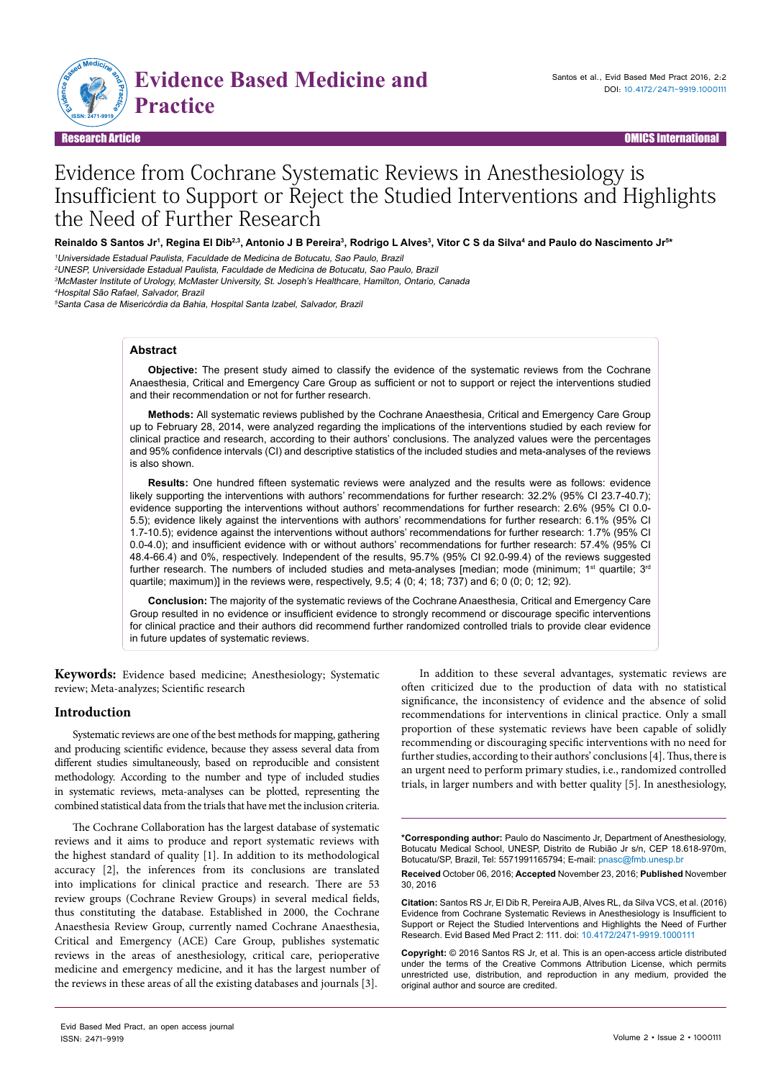

# Evidence from Cochrane Systematic Reviews in Anesthesiology is Insufficient to Support or Reject the Studied Interventions and Highlights the Need of Further Research

 $R$ einaldo S Santos Jr<sup>1</sup>, Regina El Dib<sup>2,3</sup>, Antonio J B Pereira<sup>3</sup>, Rodrigo L Alves<sup>3</sup>, Vitor C S da Silva<sup>4</sup> and Paulo do Nascimento Jr<sup>5</sup>\*

<sup>1</sup>Universidade Estadual Paulista, Faculdade de Medicina de Botucatu, Sao Paulo, Brazil

<sup>2</sup>UNESP, Universidade Estadual Paulista, Faculdade de Medicina de Botucatu, Sao Paulo, Brazil

<sup>3</sup>McMaster Institute of Urology, McMaster University, St. Joseph's Healthcare, Hamilton, Ontario, Canada

<sup>4</sup>Hospital São Rafael, Salvador, Brazil

5Santa Casa de Misericórdia da Bahia, Hospital Santa Izabel, Salvador, Brazil

# **Abstract**

**Objective:** The present study aimed to classify the evidence of the systematic reviews from the Cochrane Anaesthesia, Critical and Emergency Care Group as sufficient or not to support or reject the interventions studied and their recommendation or not for further research.

**Methods:** All systematic reviews published by the Cochrane Anaesthesia, Critical and Emergency Care Group up to February 28, 2014, were analyzed regarding the implications of the interventions studied by each review for clinical practice and research, according to their authors' conclusions. The analyzed values were the percentages and 95% confidence intervals (CI) and descriptive statistics of the included studies and meta-analyses of the reviews is also shown.

**Results:** One hundred fifteen systematic reviews were analyzed and the results were as follows: evidence likely supporting the interventions with authors' recommendations for further research: 32.2% (95% CI 23.7-40.7); evidence supporting the interventions without authors' recommendations for further research: 2.6% (95% CI 0.0- 5.5); evidence likely against the interventions with authors' recommendations for further research: 6.1% (95% CI 1.7-10.5); evidence against the interventions without authors' recommendations for further research: 1.7% (95% CI 0.0-4.0); and insufficient evidence with or without authors' recommendations for further research: 57.4% (95% CI 48.4-66.4) and 0%, respectively. Independent of the results, 95.7% (95% CI 92.0-99.4) of the reviews suggested further research. The numbers of included studies and meta-analyses [median; mode (minimum; 1<sup>st</sup> quartile;  $3<sup>rd</sup>$ quartile; maximum)] in the reviews were, respectively, 9.5; 4 (0; 4; 18; 737) and 6; 0 (0; 0; 12; 92).

**Conclusion:** The majority of the systematic reviews of the Cochrane Anaesthesia, Critical and Emergency Care Group resulted in no evidence or insufficient evidence to strongly recommend or discourage specific interventions for clinical practice and their authors did recommend further randomized controlled trials to provide clear evidence in future updates of systematic reviews.

**Keywords:** Evidence based medicine; Anesthesiology; Systematic review; Meta-analyzes; Scientific research

# **Introduction**

Systematic reviews are one of the best methods for mapping, gathering and producing scientific evidence, because they assess several data from different studies simultaneously, based on reproducible and consistent methodology. According to the number and type of included studies in systematic reviews, meta-analyses can be plotted, representing the combined statistical data from the trials that have met the inclusion criteria.

The Cochrane Collaboration has the largest database of systematic reviews and it aims to produce and report systematic reviews with the highest standard of quality [1]. In addition to its methodological accuracy [2], the inferences from its conclusions are translated into implications for clinical practice and research. There are 53 review groups (Cochrane Review Groups) in several medical fields, thus constituting the database. Established in 2000, the Cochrane Anaesthesia Review Group, currently named Cochrane Anaesthesia, Critical and Emergency (ACE) Care Group, publishes systematic reviews in the areas of anesthesiology, critical care, perioperative medicine and emergency medicine, and it has the largest number of the reviews in these areas of all the existing databases and journals [3].

In addition to these several advantages, systematic reviews are often criticized due to the production of data with no statistical significance, the inconsistency of evidence and the absence of solid recommendations for interventions in clinical practice. Only a small proportion of these systematic reviews have been capable of solidly recommending or discouraging specific interventions with no need for further studies, according to their authors' conclusions [4]. Thus, there is an urgent need to perform primary studies, i.e., randomized controlled trials, in larger numbers and with better quality [5]. In anesthesiology,

**\*Corresponding author:** Paulo do Nascimento Jr, Department of Anesthesiology, Botucatu Medical School, UNESP, Distrito de Rubião Jr s/n, CEP 18.618-970m, Botucatu/SP, Brazil, Tel: 5571991165794; E-mail: pnasc@fmb.unesp.br

**Received** October 06, 2016; **Accepted** November 23, 2016; **Published** November 30, 2016

**Citation:** Santos RS Jr, El Dib R, Pereira AJB, Alves RL, da Silva VCS, et al. (2016) Evidence from Cochrane Systematic Reviews in Anesthesiology is Insufficient to Support or Reject the Studied Interventions and Highlights the Need of Further<br>Research. Evid Based Med Pract 2: 111. doi: 10.4172/2471-9919.1000111 earch. Evid Based Med Pract 2: 111. doi: 10.4172/2471-9919.100011

**Copyright:** © 2016 Santos RS Jr, et al. This is an open-access article distributed under the terms of the Creative Commons Attribution License, which permits unrestricted use, distribution, and reproduction in any medium, provided the original author and source are credited.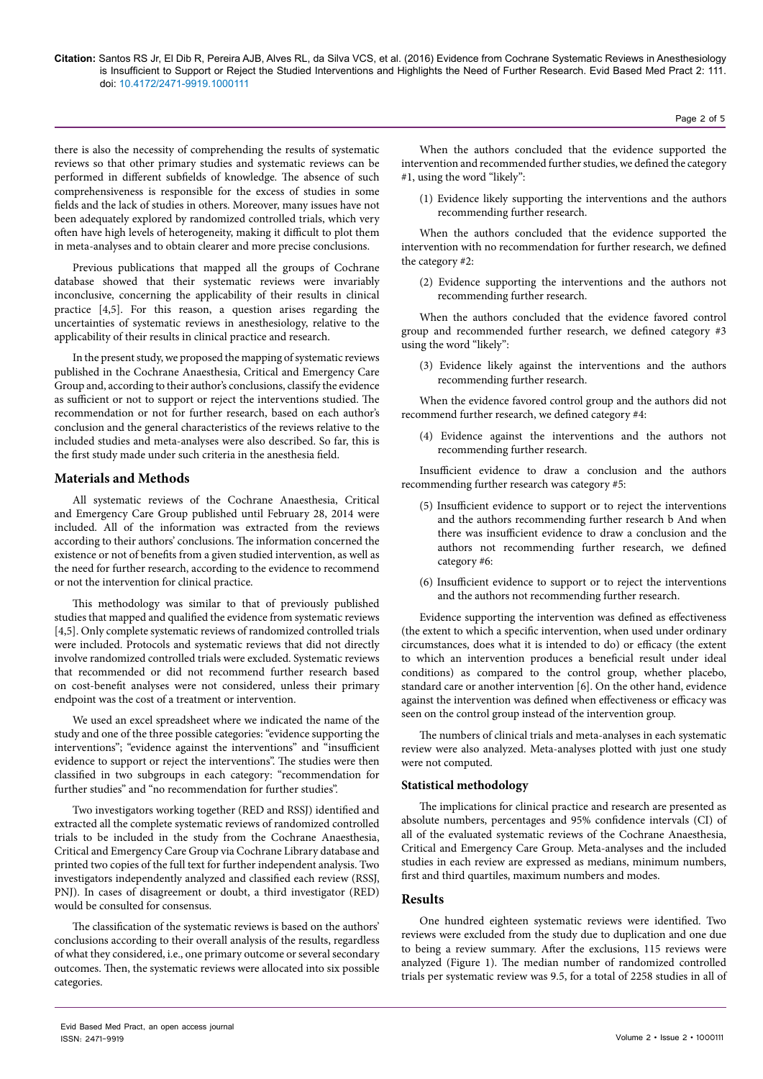**Citation:** Santos RS Jr, El Dib R, Pereira AJB, Alves RL, da Silva VCS, et al. (2016) Evidence from Cochrane Systematic Reviews in Anesthesiology is Insufficient to Support or Reject the Studied Interventions and Highlights the Need of Further Research. Evid Based Med Pract 2: 111. doi: 10.4172/2471-9919.1000111

there is also the necessity of comprehending the results of systematic reviews so that other primary studies and systematic reviews can be performed in different subfields of knowledge. The absence of such comprehensiveness is responsible for the excess of studies in some fields and the lack of studies in others. Moreover, many issues have not been adequately explored by randomized controlled trials, which very often have high levels of heterogeneity, making it difficult to plot them in meta-analyses and to obtain clearer and more precise conclusions.

Previous publications that mapped all the groups of Cochrane database showed that their systematic reviews were invariably inconclusive, concerning the applicability of their results in clinical practice [4,5]. For this reason, a question arises regarding the uncertainties of systematic reviews in anesthesiology, relative to the applicability of their results in clinical practice and research.

In the present study, we proposed the mapping of systematic reviews published in the Cochrane Anaesthesia, Critical and Emergency Care Group and, according to their author's conclusions, classify the evidence as sufficient or not to support or reject the interventions studied. The recommendation or not for further research, based on each author's conclusion and the general characteristics of the reviews relative to the included studies and meta-analyses were also described. So far, this is the first study made under such criteria in the anesthesia field.

# **Materials and Methods**

All systematic reviews of the Cochrane Anaesthesia, Critical and Emergency Care Group published until February 28, 2014 were included. All of the information was extracted from the reviews according to their authors' conclusions. The information concerned the existence or not of benefits from a given studied intervention, as well as the need for further research, according to the evidence to recommend or not the intervention for clinical practice.

This methodology was similar to that of previously published studies that mapped and qualified the evidence from systematic reviews [4,5]. Only complete systematic reviews of randomized controlled trials were included. Protocols and systematic reviews that did not directly involve randomized controlled trials were excluded. Systematic reviews that recommended or did not recommend further research based on cost-benefit analyses were not considered, unless their primary endpoint was the cost of a treatment or intervention.

We used an excel spreadsheet where we indicated the name of the study and one of the three possible categories: "evidence supporting the interventions"; "evidence against the interventions" and "insufficient evidence to support or reject the interventions". The studies were then classified in two subgroups in each category: "recommendation for further studies" and "no recommendation for further studies".

Two investigators working together (RED and RSSJ) identified and extracted all the complete systematic reviews of randomized controlled trials to be included in the study from the Cochrane Anaesthesia, Critical and Emergency Care Group via Cochrane Library database and printed two copies of the full text for further independent analysis. Two investigators independently analyzed and classified each review (RSSJ, PNJ). In cases of disagreement or doubt, a third investigator (RED) would be consulted for consensus.

The classification of the systematic reviews is based on the authors' conclusions according to their overall analysis of the results, regardless of what they considered, i.e., one primary outcome or several secondary outcomes. Then, the systematic reviews were allocated into six possible categories.

When the authors concluded that the evidence supported the intervention and recommended further studies, we defined the category #1, using the word "likely":

(1) Evidence likely supporting the interventions and the authors recommending further research.

When the authors concluded that the evidence supported the intervention with no recommendation for further research, we defined the category #2:

(2) Evidence supporting the interventions and the authors not recommending further research.

When the authors concluded that the evidence favored control group and recommended further research, we defined category #3 using the word "likely":

(3) Evidence likely against the interventions and the authors recommending further research.

When the evidence favored control group and the authors did not recommend further research, we defined category #4:

(4) Evidence against the interventions and the authors not recommending further research.

Insufficient evidence to draw a conclusion and the authors recommending further research was category #5:

- (5) Insufficient evidence to support or to reject the interventions and the authors recommending further research b And when there was insufficient evidence to draw a conclusion and the authors not recommending further research, we defined category #6:
- (6) Insufficient evidence to support or to reject the interventions and the authors not recommending further research.

Evidence supporting the intervention was defined as effectiveness (the extent to which a specific intervention, when used under ordinary circumstances, does what it is intended to do) or efficacy (the extent to which an intervention produces a beneficial result under ideal conditions) as compared to the control group, whether placebo, standard care or another intervention [6]. On the other hand, evidence against the intervention was defined when effectiveness or efficacy was seen on the control group instead of the intervention group.

The numbers of clinical trials and meta-analyses in each systematic review were also analyzed. Meta-analyses plotted with just one study were not computed.

# **Statistical methodology**

The implications for clinical practice and research are presented as absolute numbers, percentages and 95% confidence intervals (CI) of all of the evaluated systematic reviews of the Cochrane Anaesthesia, Critical and Emergency Care Group. Meta-analyses and the included studies in each review are expressed as medians, minimum numbers, first and third quartiles, maximum numbers and modes.

# **Results**

One hundred eighteen systematic reviews were identified. Two reviews were excluded from the study due to duplication and one due to being a review summary. After the exclusions, 115 reviews were analyzed (Figure 1). The median number of randomized controlled trials per systematic review was 9.5, for a total of 2258 studies in all of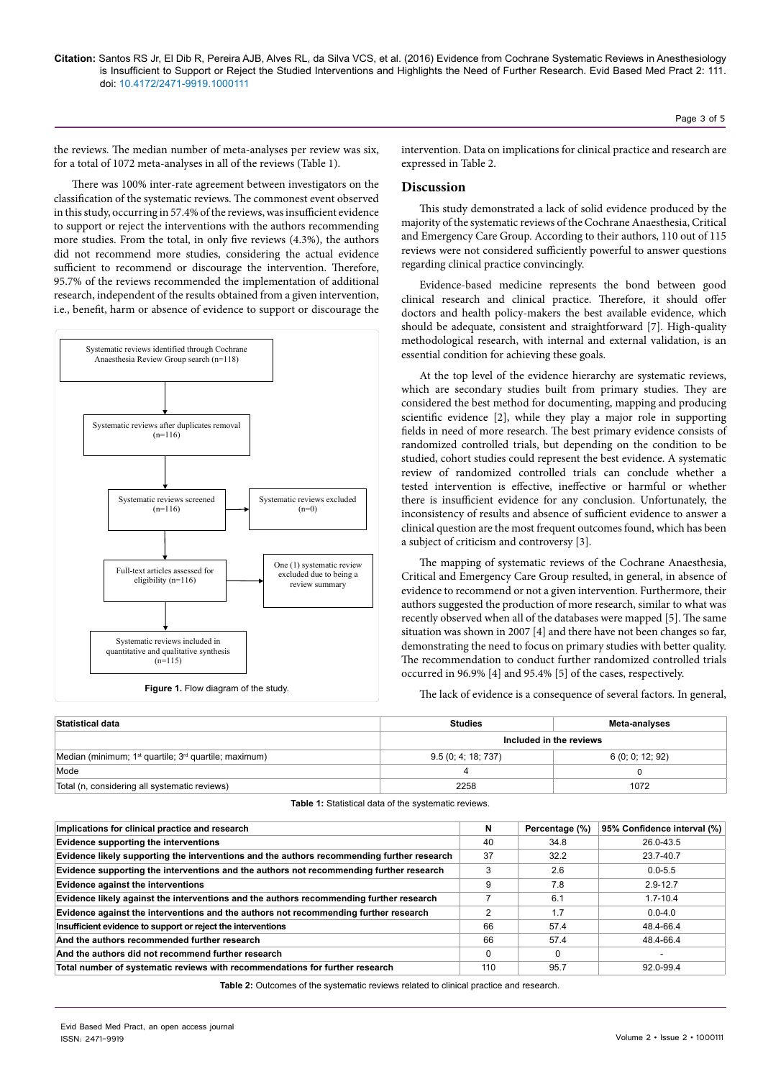**Citation:** Santos RS Jr, El Dib R, Pereira AJB, Alves RL, da Silva VCS, et al. (2016) Evidence from Cochrane Systematic Reviews in Anesthesiology is Insufficient to Support or Reject the Studied Interventions and Highlights the Need of Further Research. Evid Based Med Pract 2: 111. doi: 10.4172/2471-9919.1000111

the reviews. The median number of meta-analyses per review was six, for a total of 1072 meta-analyses in all of the reviews (Table 1).

There was 100% inter-rate agreement between investigators on the classification of the systematic reviews. The commonest event observed in this study, occurring in 57.4% of the reviews, was insufficient evidence to support or reject the interventions with the authors recommending more studies. From the total, in only five reviews (4.3%), the authors did not recommend more studies, considering the actual evidence sufficient to recommend or discourage the intervention. Therefore, 95.7% of the reviews recommended the implementation of additional research, independent of the results obtained from a given intervention, i.e., benefit, harm or absence of evidence to support or discourage the



intervention. Data on implications for clinical practice and research are expressed in Table 2.

# **Discussion**

This study demonstrated a lack of solid evidence produced by the majority of the systematic reviews of the Cochrane Anaesthesia, Critical and Emergency Care Group. According to their authors, 110 out of 115 reviews were not considered sufficiently powerful to answer questions regarding clinical practice convincingly.

Evidence-based medicine represents the bond between good clinical research and clinical practice. Therefore, it should offer doctors and health policy-makers the best available evidence, which should be adequate, consistent and straightforward [7]. High-quality methodological research, with internal and external validation, is an essential condition for achieving these goals.

At the top level of the evidence hierarchy are systematic reviews, which are secondary studies built from primary studies. They are considered the best method for documenting, mapping and producing scientific evidence [2], while they play a major role in supporting fields in need of more research. The best primary evidence consists of randomized controlled trials, but depending on the condition to be studied, cohort studies could represent the best evidence. A systematic review of randomized controlled trials can conclude whether a tested intervention is effective, ineffective or harmful or whether there is insufficient evidence for any conclusion. Unfortunately, the inconsistency of results and absence of sufficient evidence to answer a clinical question are the most frequent outcomes found, which has been a subject of criticism and controversy [3].

The mapping of systematic reviews of the Cochrane Anaesthesia, Critical and Emergency Care Group resulted, in general, in absence of evidence to recommend or not a given intervention. Furthermore, their authors suggested the production of more research, similar to what was recently observed when all of the databases were mapped [5]. The same situation was shown in 2007 [4] and there have not been changes so far, demonstrating the need to focus on primary studies with better quality. The recommendation to conduct further randomized controlled trials occurred in 96.9% [4] and 95.4% [5] of the cases, respectively.

The lack of evidence is a consequence of several factors. In general,

| <b>Statistical data</b>                                                       | <b>Studies</b>          | Meta-analyses   |  |
|-------------------------------------------------------------------------------|-------------------------|-----------------|--|
|                                                                               | Included in the reviews |                 |  |
| Median (minimum; 1 <sup>st</sup> quartile; 3 <sup>rd</sup> quartile; maximum) | 9.5 (0; 4; 18; 737)     | 6(0; 0; 12; 92) |  |
| Mode                                                                          | 4                       |                 |  |
| Total (n, considering all systematic reviews)                                 | 2258                    | 1072            |  |

**Table 1:** Statistical data of the systematic reviews.

| Implications for clinical practice and research                                            | N   | Percentage (%) | 95% Confidence interval (%) |
|--------------------------------------------------------------------------------------------|-----|----------------|-----------------------------|
| <b>Evidence supporting the interventions</b>                                               | 40  | 34.8           | 26.0-43.5                   |
| Evidence likely supporting the interventions and the authors recommending further research | 37  | 32.2           | 23.7-40.7                   |
| Evidence supporting the interventions and the authors not recommending further research    |     | 2.6            | $0.0 - 5.5$                 |
| Evidence against the interventions                                                         | 9   | 7.8            | $2.9 - 12.7$                |
| Evidence likely against the interventions and the authors recommending further research    |     | 6.1            | $1.7 - 10.4$                |
| Evidence against the interventions and the authors not recommending further research       |     | 1.7            | $0.0 - 4.0$                 |
| Insufficient evidence to support or reject the interventions                               | 66  | 57.4           | 48.4-66.4                   |
| And the authors recommended further research                                               | 66  | 57.4           | 48.4-66.4                   |
| And the authors did not recommend further research                                         | 0   | 0              |                             |
| Total number of systematic reviews with recommendations for further research               | 110 | 95.7           | 92.0-99.4                   |

**Table 2:** Outcomes of the systematic reviews related to clinical practice and research.

ISSN: 2471-9919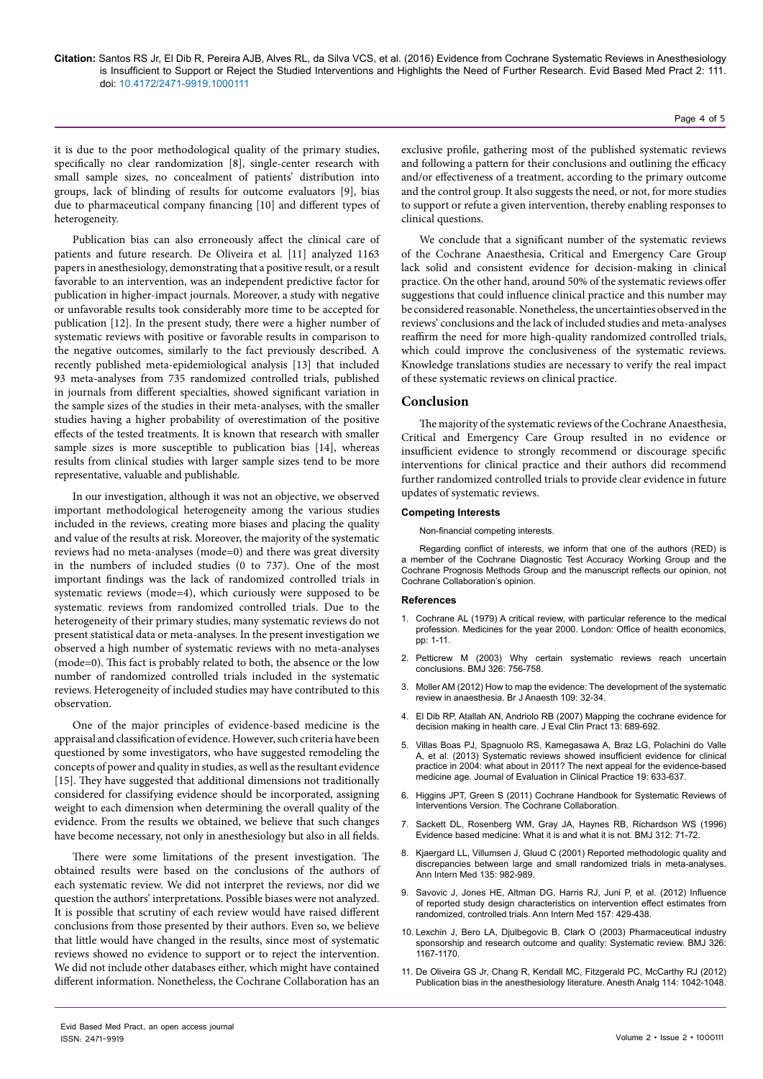#### Page 4 of 5

it is due to the poor methodological quality of the primary studies, specifically no clear randomization [8], single-center research with small sample sizes, no concealment of patients' distribution into groups, lack of blinding of results for outcome evaluators [9], bias due to pharmaceutical company financing [10] and different types of heterogeneity.

Publication bias can also erroneously affect the clinical care of patients and future research. De Oliveira et al. [11] analyzed 1163 papersin anesthesiology, demonstrating that a positive result, or a result favorable to an intervention, was an independent predictive factor for publication in higher-impact journals. Moreover, a study with negative or unfavorable results took considerably more time to be accepted for publication [12]. In the present study, there were a higher number of systematic reviews with positive or favorable results in comparison to the negative outcomes, similarly to the fact previously described. A recently published meta-epidemiological analysis [13] that included 93 meta-analyses from 735 randomized controlled trials, published in journals from different specialties, showed significant variation in the sample sizes of the studies in their meta-analyses, with the smaller studies having a higher probability of overestimation of the positive effects of the tested treatments. It is known that research with smaller sample sizes is more susceptible to publication bias [14], whereas results from clinical studies with larger sample sizes tend to be more representative, valuable and publishable.

In our investigation, although it was not an objective, we observed important methodological heterogeneity among the various studies included in the reviews, creating more biases and placing the quality and value of the results at risk. Moreover, the majority of the systematic reviews had no meta-analyses (mode=0) and there was great diversity in the numbers of included studies (0 to 737). One of the most important findings was the lack of randomized controlled trials in systematic reviews (mode=4), which curiously were supposed to be systematic reviews from randomized controlled trials. Due to the heterogeneity of their primary studies, many systematic reviews do not present statistical data or meta-analyses. In the present investigation we observed a high number of systematic reviews with no meta-analyses (mode=0). This fact is probably related to both, the absence or the low number of randomized controlled trials included in the systematic reviews. Heterogeneity of included studies may have contributed to this observation.

One of the major principles of evidence-based medicine is the appraisal and classification of evidence. However, such criteria have been questioned by some investigators, who have suggested remodeling the concepts of power and quality in studies, aswell asthe resultant evidence [15]. They have suggested that additional dimensions not traditionally considered for classifying evidence should be incorporated, assigning weight to each dimension when determining the overall quality of the evidence. From the results we obtained, we believe that such changes have become necessary, not only in anesthesiology but also in all fields.

There were some limitations of the present investigation. The obtained results were based on the conclusions of the authors of each systematic review. We did not interpret the reviews, nor did we question the authors' interpretations. Possible biases were not analyzed. It is possible that scrutiny of each review would have raised different conclusions from those presented by their authors. Even so, we believe that little would have changed in the results, since most of systematic reviews showed no evidence to support or to reject the intervention. We did not include other databases either, which might have contained different information. Nonetheless, the Cochrane Collaboration has an

exclusive profile, gathering most of the published systematic reviews and following a pattern for their conclusions and outlining the efficacy and/or effectiveness of a treatment, according to the primary outcome and the control group. It also suggests the need, or not, for more studies to support or refute a given intervention, thereby enabling responses to clinical questions.

We conclude that a significant number of the systematic reviews of the Cochrane Anaesthesia, Critical and Emergency Care Group lack solid and consistent evidence for decision-making in clinical practice. On the other hand, around 50% of the systematic reviews offer suggestions that could influence clinical practice and this number may be considered reasonable. Nonetheless, the uncertainties observed in the reviews' conclusions and the lack of included studies and meta-analyses reaffirm the need for more high-quality randomized controlled trials, which could improve the conclusiveness of the systematic reviews. Knowledge translations studies are necessary to verify the real impact of these systematic reviews on clinical practice.

#### **Conclusion**

The majority of the systematic reviews of the Cochrane Anaesthesia, Critical and Emergency Care Group resulted in no evidence or insufficient evidence to strongly recommend or discourage specific interventions for clinical practice and their authors did recommend further randomized controlled trials to provide clear evidence in future updates of systematic reviews.

#### **Competing Interests**

Non-financial competing interests.

Regarding conflict of interests, we inform that one of the authors (RED) is a member of the Cochrane Diagnostic Test Accuracy Working Group and the Cochrane Prognosis Methods Group and the manuscript reflects our opinion, not Cochrane Collaboration's opinion.

#### **References**

- 1. Cochrane AL (1979) A critical review, with particular reference to the medical profession. Medicines for the year 2000. London: Office of health economics, pp: 1-11.
- 2. Petticrew [M \(2003\) Why](http://dx.doi.org/10.1136/bmj.326.7392.756) certain systematic reviews reach uncertain [conclusions. BMJ](http://dx.doi.org/10.1136/bmj.326.7392.756) 326: 756-758.
- 3. Moller [AM \(2012\) How](http://dx.doi.org/10.1093/bja/aes179) to map the evidence: The development of the systematic review in [anaesthesia. Br](http://dx.doi.org/10.1093/bja/aes179) J Anaesth 109: 32-34.
- 4. El Dib RP, Atallah AN, Andriolo [RB \(2007\) Mapping](http://dx.doi.org/10.1111/j.1365-2753.2007.00886.x) the cochrane evidence for decision making in health care. J Eval Clin Pract [13: 689-692.](http://dx.doi.org/10.1111/j.1365-2753.2007.00886.x)
- Villas Boas PJ, Spagnuolo [RS, Kamegasawa](http://dx.doi.org/10.1111/j.1365-2753.2012.01877.x%5d) A, Braz LG, Polachini do Valle A, et [al. \(2013\) Systematic](http://dx.doi.org/10.1111/j.1365-2753.2012.01877.x%5d) reviews showed insufficient evidence for clinical practice in 2004: what about in 2011? The next appeal for the [evidence-based](http://dx.doi.org/10.1111/j.1365-2753.2012.01877.x%5d) medicine age. Journal of Evaluation in Clinical Practice [19: 633-637.](http://dx.doi.org/10.1111/j.1365-2753.2012.01877.x%5d)
- 6. Higgins JPT, Green [S \(2011\) Cochrane](http://handbook.cochrane.org/) Handbook for Systematic Reviews of Interventions Version. The Cochrane [Collaboration.](http://handbook.cochrane.org/)
- 7. Sackett DL, Rosenberg WM, Gray JA, Haynes [RB, Richardson](http://dx.doi.org/10.1136/bmj.312.7023.71) WS (1996) Evidence based [medicine: What](http://dx.doi.org/10.1136/bmj.312.7023.71) it is and what it is not. BMJ 312: 71-72.
- 8. Kjaergard LL, Villumsen J, Gluud [C \(2001\) Reported](http://dx.doi.org/10.7326/0003-4819-135-11-200112040-00010) methodologic quality and discrepancies between large and small randomized trials in [meta-analyses.](http://dx.doi.org/10.7326/0003-4819-135-11-200112040-00010)  Ann Intern Med [135: 982-989.](http://dx.doi.org/10.7326/0003-4819-135-11-200112040-00010)
- 9. Savovic J, Jones [HE, Altman](http://dx.doi.org/10.7326/0003-4819-157-6-201209180-00537) DG, Harris RJ, Juni P, et al. (2012) Influence of reported study design [characteristics](http://dx.doi.org/10.7326/0003-4819-157-6-201209180-00537) on intervention effect estimates from [randomized, controlled](http://dx.doi.org/10.7326/0003-4819-157-6-201209180-00537) trials. Ann Intern Med 157: 429-438.
- 10. Lexchin J, Bero LA, Djulbegovic B, Clark [O \(2003\) Pharmaceutical](http://dx.doi.org/10.1136/bmj.326.7400.1167) industry sponsorship and research outcome and [quality: Systematic](http://dx.doi.org/10.1136/bmj.326.7400.1167) review. BMJ 326: [1167-1170.](http://dx.doi.org/10.1136/bmj.326.7400.1167)
- 11. De Oliveira GS Jr, Chang R, Kendall [MC, Fitzgerald](http://dx.doi.org/10.1213/ANE.0b013e3182468fc6) PC, McCarthy RJ (2012) Publication bias in the anesthesiology [literature. Anesth](http://dx.doi.org/10.1213/ANE.0b013e3182468fc6) Analg 114: 1042-1048.